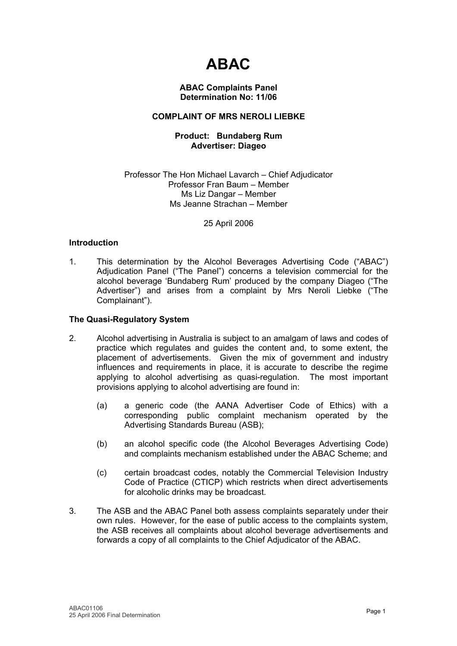# **ABAC**

#### **ABAC Complaints Panel Determination No: 11/06**

# **COMPLAINT OF MRS NEROLI LIEBKE**

# **Product: Bundaberg Rum Advertiser: Diageo**

#### Professor The Hon Michael Lavarch – Chief Adjudicator Professor Fran Baum – Member Ms Liz Dangar – Member Ms Jeanne Strachan – Member

# 25 April 2006

# **Introduction**

1. This determination by the Alcohol Beverages Advertising Code ("ABAC") Adjudication Panel ("The Panel") concerns a television commercial for the alcohol beverage 'Bundaberg Rum' produced by the company Diageo ("The Advertiser") and arises from a complaint by Mrs Neroli Liebke ("The Complainant").

# **The Quasi-Regulatory System**

- 2. Alcohol advertising in Australia is subject to an amalgam of laws and codes of practice which regulates and guides the content and, to some extent, the placement of advertisements. Given the mix of government and industry influences and requirements in place, it is accurate to describe the regime applying to alcohol advertising as quasi-regulation. The most important provisions applying to alcohol advertising are found in:
	- (a) a generic code (the AANA Advertiser Code of Ethics) with a corresponding public complaint mechanism operated by the Advertising Standards Bureau (ASB);
	- (b) an alcohol specific code (the Alcohol Beverages Advertising Code) and complaints mechanism established under the ABAC Scheme; and
	- (c) certain broadcast codes, notably the Commercial Television Industry Code of Practice (CTICP) which restricts when direct advertisements for alcoholic drinks may be broadcast.
- 3. The ASB and the ABAC Panel both assess complaints separately under their own rules. However, for the ease of public access to the complaints system, the ASB receives all complaints about alcohol beverage advertisements and forwards a copy of all complaints to the Chief Adjudicator of the ABAC.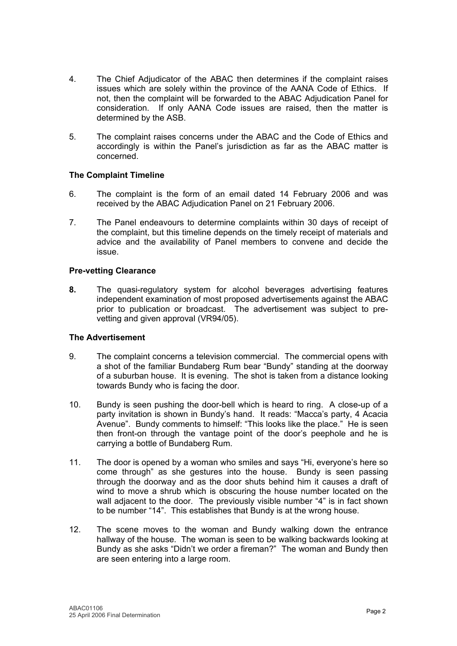- 4. The Chief Adjudicator of the ABAC then determines if the complaint raises issues which are solely within the province of the AANA Code of Ethics. If not, then the complaint will be forwarded to the ABAC Adjudication Panel for consideration. If only AANA Code issues are raised, then the matter is determined by the ASB.
- 5. The complaint raises concerns under the ABAC and the Code of Ethics and accordingly is within the Panel's jurisdiction as far as the ABAC matter is concerned.

# **The Complaint Timeline**

- 6. The complaint is the form of an email dated 14 February 2006 and was received by the ABAC Adjudication Panel on 21 February 2006.
- 7. The Panel endeavours to determine complaints within 30 days of receipt of the complaint, but this timeline depends on the timely receipt of materials and advice and the availability of Panel members to convene and decide the issue.

# **Pre-vetting Clearance**

**8.** The quasi-regulatory system for alcohol beverages advertising features independent examination of most proposed advertisements against the ABAC prior to publication or broadcast. The advertisement was subject to prevetting and given approval (VR94/05).

# **The Advertisement**

- 9. The complaint concerns a television commercial. The commercial opens with a shot of the familiar Bundaberg Rum bear "Bundy" standing at the doorway of a suburban house. It is evening. The shot is taken from a distance looking towards Bundy who is facing the door.
- 10. Bundy is seen pushing the door-bell which is heard to ring. A close-up of a party invitation is shown in Bundy's hand. It reads: "Macca's party, 4 Acacia Avenue". Bundy comments to himself: "This looks like the place." He is seen then front-on through the vantage point of the door's peephole and he is carrying a bottle of Bundaberg Rum.
- 11. The door is opened by a woman who smiles and says "Hi, everyone's here so come through" as she gestures into the house. Bundy is seen passing through the doorway and as the door shuts behind him it causes a draft of wind to move a shrub which is obscuring the house number located on the wall adjacent to the door. The previously visible number "4" is in fact shown to be number "14". This establishes that Bundy is at the wrong house.
- 12. The scene moves to the woman and Bundy walking down the entrance hallway of the house. The woman is seen to be walking backwards looking at Bundy as she asks "Didn't we order a fireman?" The woman and Bundy then are seen entering into a large room.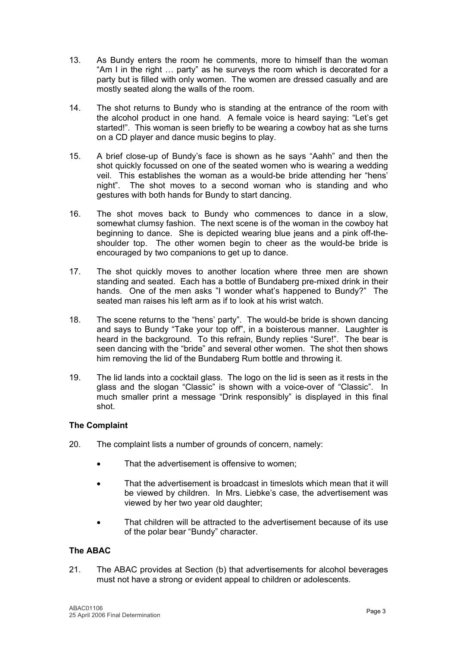- 13. As Bundy enters the room he comments, more to himself than the woman "Am I in the right … party" as he surveys the room which is decorated for a party but is filled with only women. The women are dressed casually and are mostly seated along the walls of the room.
- 14. The shot returns to Bundy who is standing at the entrance of the room with the alcohol product in one hand. A female voice is heard saying: "Let's get started!". This woman is seen briefly to be wearing a cowboy hat as she turns on a CD player and dance music begins to play.
- 15. A brief close-up of Bundy's face is shown as he says "Aahh" and then the shot quickly focussed on one of the seated women who is wearing a wedding veil. This establishes the woman as a would-be bride attending her "hens' night". The shot moves to a second woman who is standing and who gestures with both hands for Bundy to start dancing.
- 16. The shot moves back to Bundy who commences to dance in a slow, somewhat clumsy fashion. The next scene is of the woman in the cowboy hat beginning to dance. She is depicted wearing blue jeans and a pink off-theshoulder top. The other women begin to cheer as the would-be bride is encouraged by two companions to get up to dance.
- 17. The shot quickly moves to another location where three men are shown standing and seated. Each has a bottle of Bundaberg pre-mixed drink in their hands. One of the men asks "I wonder what's happened to Bundy?" The seated man raises his left arm as if to look at his wrist watch.
- 18. The scene returns to the "hens' party". The would-be bride is shown dancing and says to Bundy "Take your top off", in a boisterous manner. Laughter is heard in the background. To this refrain, Bundy replies "Sure!". The bear is seen dancing with the "bride" and several other women. The shot then shows him removing the lid of the Bundaberg Rum bottle and throwing it.
- 19. The lid lands into a cocktail glass. The logo on the lid is seen as it rests in the glass and the slogan "Classic" is shown with a voice-over of "Classic". In much smaller print a message "Drink responsibly" is displayed in this final shot.

# **The Complaint**

- 20. The complaint lists a number of grounds of concern, namely:
	- That the advertisement is offensive to women:
	- That the advertisement is broadcast in timeslots which mean that it will be viewed by children. In Mrs. Liebke's case, the advertisement was viewed by her two year old daughter;
	- That children will be attracted to the advertisement because of its use of the polar bear "Bundy" character.

# **The ABAC**

21. The ABAC provides at Section (b) that advertisements for alcohol beverages must not have a strong or evident appeal to children or adolescents.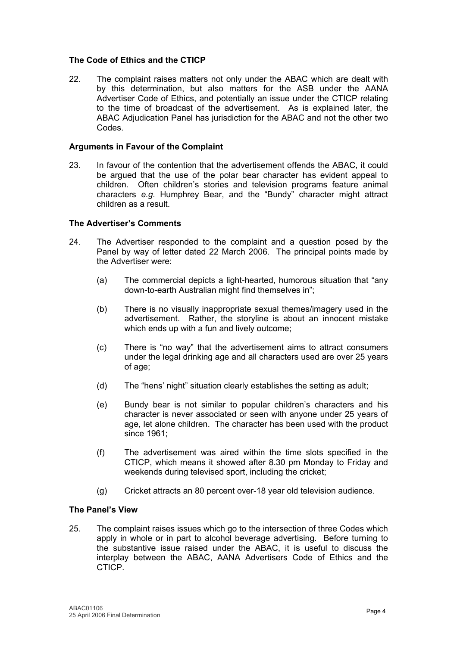#### **The Code of Ethics and the CTICP**

22. The complaint raises matters not only under the ABAC which are dealt with by this determination, but also matters for the ASB under the AANA Advertiser Code of Ethics, and potentially an issue under the CTICP relating to the time of broadcast of the advertisement. As is explained later, the ABAC Adjudication Panel has jurisdiction for the ABAC and not the other two Codes.

#### **Arguments in Favour of the Complaint**

23. In favour of the contention that the advertisement offends the ABAC, it could be argued that the use of the polar bear character has evident appeal to children. Often children's stories and television programs feature animal characters *e.g.* Humphrey Bear, and the "Bundy" character might attract children as a result.

#### **The Advertiser's Comments**

- 24. The Advertiser responded to the complaint and a question posed by the Panel by way of letter dated 22 March 2006. The principal points made by the Advertiser were:
	- (a) The commercial depicts a light-hearted, humorous situation that "any down-to-earth Australian might find themselves in";
	- (b) There is no visually inappropriate sexual themes/imagery used in the advertisement. Rather, the storyline is about an innocent mistake which ends up with a fun and lively outcome;
	- (c) There is "no way" that the advertisement aims to attract consumers under the legal drinking age and all characters used are over 25 years of age;
	- (d) The "hens' night" situation clearly establishes the setting as adult;
	- (e) Bundy bear is not similar to popular children's characters and his character is never associated or seen with anyone under 25 years of age, let alone children. The character has been used with the product since 1961:
	- (f) The advertisement was aired within the time slots specified in the CTICP, which means it showed after 8.30 pm Monday to Friday and weekends during televised sport, including the cricket;
	- (g) Cricket attracts an 80 percent over-18 year old television audience.

#### **The Panel's View**

25. The complaint raises issues which go to the intersection of three Codes which apply in whole or in part to alcohol beverage advertising. Before turning to the substantive issue raised under the ABAC, it is useful to discuss the interplay between the ABAC, AANA Advertisers Code of Ethics and the CTICP.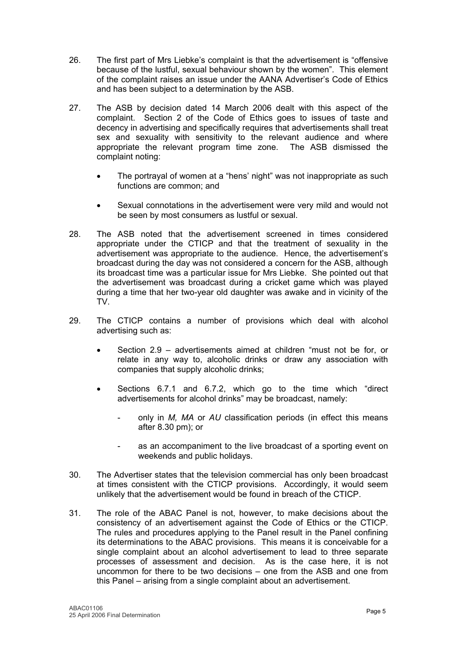- 26. The first part of Mrs Liebke's complaint is that the advertisement is "offensive because of the lustful, sexual behaviour shown by the women". This element of the complaint raises an issue under the AANA Advertiser's Code of Ethics and has been subject to a determination by the ASB.
- 27. The ASB by decision dated 14 March 2006 dealt with this aspect of the complaint. Section 2 of the Code of Ethics goes to issues of taste and decency in advertising and specifically requires that advertisements shall treat sex and sexuality with sensitivity to the relevant audience and where appropriate the relevant program time zone. The ASB dismissed the complaint noting:
	- The portrayal of women at a "hens' night" was not inappropriate as such functions are common; and
	- Sexual connotations in the advertisement were very mild and would not be seen by most consumers as lustful or sexual.
- 28. The ASB noted that the advertisement screened in times considered appropriate under the CTICP and that the treatment of sexuality in the advertisement was appropriate to the audience. Hence, the advertisement's broadcast during the day was not considered a concern for the ASB, although its broadcast time was a particular issue for Mrs Liebke. She pointed out that the advertisement was broadcast during a cricket game which was played during a time that her two-year old daughter was awake and in vicinity of the TV.
- 29. The CTICP contains a number of provisions which deal with alcohol advertising such as:
	- Section 2.9 advertisements aimed at children "must not be for, or relate in any way to, alcoholic drinks or draw any association with companies that supply alcoholic drinks;
	- Sections 6.7.1 and 6.7.2, which go to the time which "direct advertisements for alcohol drinks" may be broadcast, namely:
		- only in *M, MA* or *AU* classification periods (in effect this means after 8.30 pm); or
		- as an accompaniment to the live broadcast of a sporting event on weekends and public holidays.
- 30. The Advertiser states that the television commercial has only been broadcast at times consistent with the CTICP provisions. Accordingly, it would seem unlikely that the advertisement would be found in breach of the CTICP.
- 31. The role of the ABAC Panel is not, however, to make decisions about the consistency of an advertisement against the Code of Ethics or the CTICP. The rules and procedures applying to the Panel result in the Panel confining its determinations to the ABAC provisions. This means it is conceivable for a single complaint about an alcohol advertisement to lead to three separate processes of assessment and decision. As is the case here, it is not uncommon for there to be two decisions – one from the ASB and one from this Panel – arising from a single complaint about an advertisement.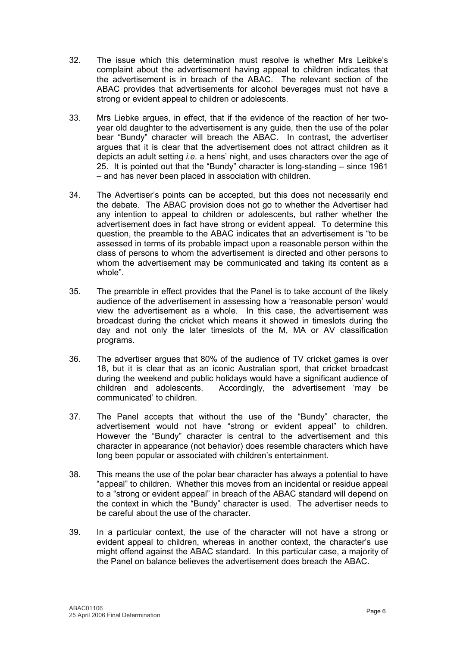- 32. The issue which this determination must resolve is whether Mrs Leibke's complaint about the advertisement having appeal to children indicates that the advertisement is in breach of the ABAC. The relevant section of the ABAC provides that advertisements for alcohol beverages must not have a strong or evident appeal to children or adolescents.
- 33. Mrs Liebke argues, in effect, that if the evidence of the reaction of her twoyear old daughter to the advertisement is any guide, then the use of the polar bear "Bundy" character will breach the ABAC. In contrast, the advertiser argues that it is clear that the advertisement does not attract children as it depicts an adult setting *i.e.* a hens' night, and uses characters over the age of 25. It is pointed out that the "Bundy" character is long-standing – since 1961 – and has never been placed in association with children.
- 34. The Advertiser's points can be accepted, but this does not necessarily end the debate. The ABAC provision does not go to whether the Advertiser had any intention to appeal to children or adolescents, but rather whether the advertisement does in fact have strong or evident appeal. To determine this question, the preamble to the ABAC indicates that an advertisement is "to be assessed in terms of its probable impact upon a reasonable person within the class of persons to whom the advertisement is directed and other persons to whom the advertisement may be communicated and taking its content as a whole".
- 35. The preamble in effect provides that the Panel is to take account of the likely audience of the advertisement in assessing how a 'reasonable person' would view the advertisement as a whole. In this case, the advertisement was broadcast during the cricket which means it showed in timeslots during the day and not only the later timeslots of the M, MA or AV classification programs.
- 36. The advertiser argues that 80% of the audience of TV cricket games is over 18, but it is clear that as an iconic Australian sport, that cricket broadcast during the weekend and public holidays would have a significant audience of children and adolescents. Accordingly, the advertisement 'may be communicated' to children.
- 37. The Panel accepts that without the use of the "Bundy" character, the advertisement would not have "strong or evident appeal" to children. However the "Bundy" character is central to the advertisement and this character in appearance (not behavior) does resemble characters which have long been popular or associated with children's entertainment.
- 38. This means the use of the polar bear character has always a potential to have "appeal" to children. Whether this moves from an incidental or residue appeal to a "strong or evident appeal" in breach of the ABAC standard will depend on the context in which the "Bundy" character is used. The advertiser needs to be careful about the use of the character.
- 39. In a particular context, the use of the character will not have a strong or evident appeal to children, whereas in another context, the character's use might offend against the ABAC standard. In this particular case, a majority of the Panel on balance believes the advertisement does breach the ABAC.